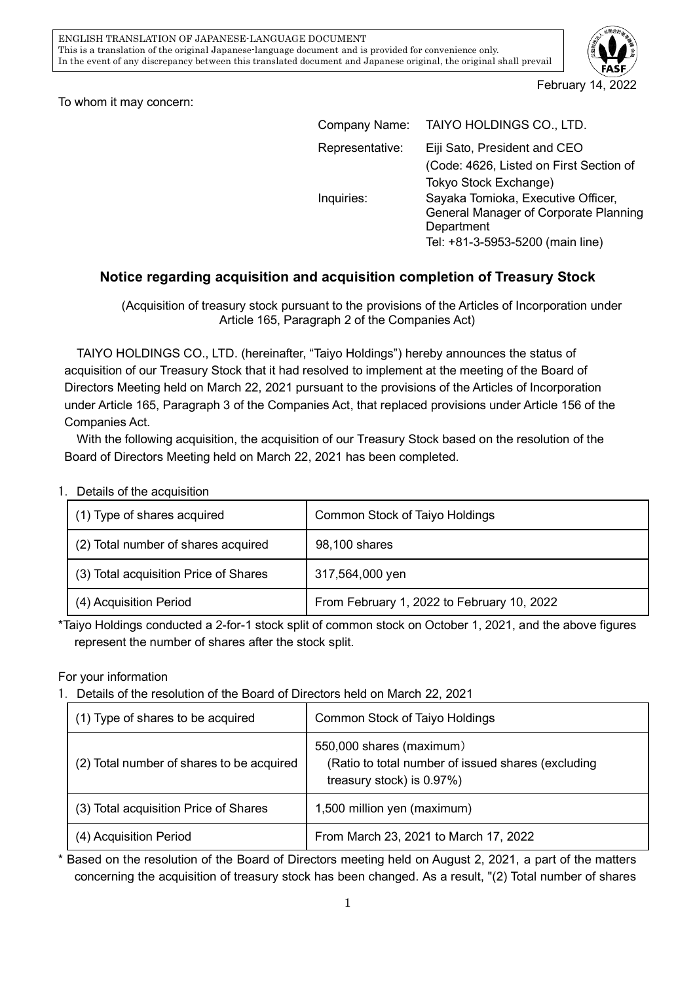

To whom it may concern:

| TAIYO HOLDINGS CO., LTD.                |
|-----------------------------------------|
| Eiji Sato, President and CEO            |
| (Code: 4626, Listed on First Section of |
| Tokyo Stock Exchange)                   |
| Sayaka Tomioka, Executive Officer,      |
| General Manager of Corporate Planning   |
| Department                              |
| Tel: +81-3-5953-5200 (main line)        |
|                                         |

## **Notice regarding acquisition and acquisition completion of Treasury Stock**

(Acquisition of treasury stock pursuant to the provisions of the Articles of Incorporation under Article 165, Paragraph 2 of the Companies Act)

TAIYO HOLDINGS CO., LTD. (hereinafter, "Taiyo Holdings") hereby announces the status of acquisition of our Treasury Stock that it had resolved to implement at the meeting of the Board of Directors Meeting held on March 22, 2021 pursuant to the provisions of the Articles of Incorporation under Article 165, Paragraph 3 of the Companies Act, that replaced provisions under Article 156 of the Companies Act.

With the following acquisition, the acquisition of our Treasury Stock based on the resolution of the Board of Directors Meeting held on March 22, 2021 has been completed.

1.Details of the acquisition

| (1) Type of shares acquired           | Common Stock of Taiyo Holdings             |
|---------------------------------------|--------------------------------------------|
| (2) Total number of shares acquired   | 98,100 shares                              |
| (3) Total acquisition Price of Shares | 317,564,000 yen                            |
| (4) Acquisition Period                | From February 1, 2022 to February 10, 2022 |

\*Taiyo Holdings conducted a 2-for-1 stock split of common stock on October 1, 2021, and the above figures represent the number of shares after the stock split.

For your information

1.Details of the resolution of the Board of Directors held on March 22, 2021

| (1) Type of shares to be acquired         | Common Stock of Taiyo Holdings                                                                              |
|-------------------------------------------|-------------------------------------------------------------------------------------------------------------|
| (2) Total number of shares to be acquired | 550,000 shares (maximum)<br>(Ratio to total number of issued shares (excluding<br>treasury stock) is 0.97%) |
| (3) Total acquisition Price of Shares     | 1,500 million yen (maximum)                                                                                 |
| (4) Acquisition Period                    | From March 23, 2021 to March 17, 2022                                                                       |

\* Based on the resolution of the Board of Directors meeting held on August 2, 2021, a part of the matters concerning the acquisition of treasury stock has been changed. As a result, "(2) Total number of shares